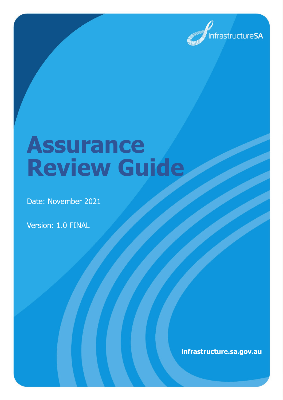

# **Assurance Review Guide**

Date: November 2021

Version: 1.0 FINAL

**infrastructure.sa.gov.au**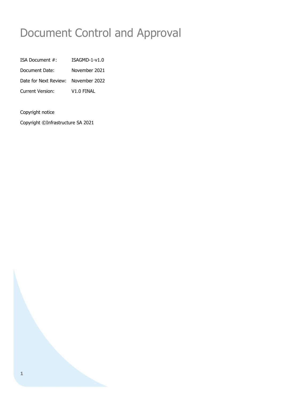# Document Control and Approval

| ISA Document #:                     | ISAGMD-1-v1.0 |
|-------------------------------------|---------------|
| Document Date:                      | November 2021 |
| Date for Next Review: November 2022 |               |
| Current Version:                    | V1.0 FINAL    |

#### Copyright notice

Copyright ©Infrastructure SA 2021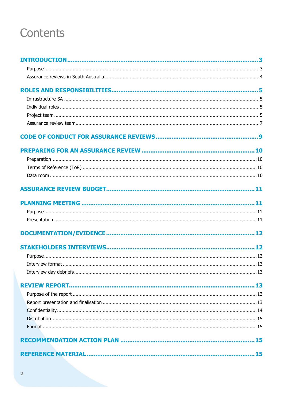# Contents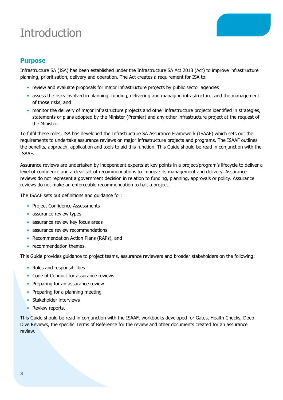# <span id="page-3-0"></span>**Introduction**



### <span id="page-3-1"></span>**Purpose**

Infrastructure SA (ISA) has been established under the Infrastructure SA Act 2018 (Act) to improve infrastructure planning, prioritisation, delivery and operation. The Act creates a requirement for ISA to:

- review and evaluate proposals for major infrastructure projects by public sector agencies
- assess the risks involved in planning, funding, delivering and managing infrastructure, and the management of those risks, and
- monitor the delivery of major infrastructure projects and other infrastructure projects identified in strategies, statements or plans adopted by the Minister (Premier) and any other infrastructure project at the request of the Minister.

To fulfil these roles, ISA has developed the Infrastructure SA Assurance Framework (ISAAF) which sets out the requirements to undertake assurance reviews on major infrastructure projects and programs. The ISAAF outlines the benefits, approach, application and tools to aid this function. This Guide should be read in conjunction with the ISAAF.

Assurance reviews are undertaken by independent experts at key points in a project/program's lifecycle to deliver a level of confidence and a clear set of recommendations to improve its management and delivery. Assurance reviews do not represent a government decision in relation to funding, planning, approvals or policy. Assurance reviews do not make an enforceable recommendation to halt a project.

The ISAAF sets out definitions and guidance for:

- Project Confidence Assessments
- assurance review types
- assurance review key focus areas
- assurance review recommendations
- Recommendation Action Plans (RAPs), and
- recommendation themes.

This Guide provides guidance to project teams, assurance reviewers and broader stakeholders on the following:

- Roles and responsibilities
- Code of Conduct for assurance reviews
- Preparing for an assurance review
- Preparing for a planning meeting
- Stakeholder interviews
- Review reports.

This Guide should be read in conjunction with the ISAAF, workbooks developed for Gates, Health Checks, Deep Dive Reviews, the specific Terms of Reference for the review and other documents created for an assurance review.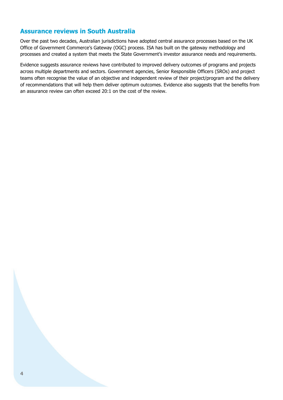### <span id="page-4-0"></span>**Assurance reviews in South Australia**

Over the past two decades, Australian jurisdictions have adopted central assurance processes based on the UK Office of Government Commerce's Gateway (OGC) process. ISA has built on the gateway methodology and processes and created a system that meets the State Government's investor assurance needs and requirements.

Evidence suggests assurance reviews have contributed to improved delivery outcomes of programs and projects across multiple departments and sectors. Government agencies, Senior Responsible Officers (SROs) and project teams often recognise the value of an objective and independent review of their project/program and the delivery of recommendations that will help them deliver optimum outcomes. Evidence also suggests that the benefits from an assurance review can often exceed 20:1 on the cost of the review.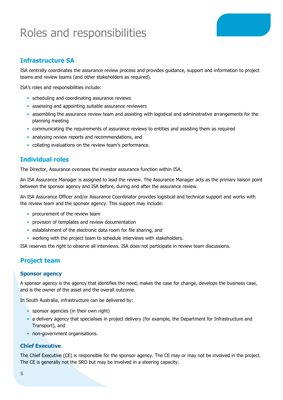# <span id="page-5-0"></span>Roles and responsibilities

### <span id="page-5-1"></span>**Infrastructure SA**

ISA centrally coordinates the assurance review process and provides guidance, support and information to project teams and review teams (and other stakeholders as required).

ISA's roles and responsibilities include:

- scheduling and coordinating assurance reviews
- assessing and appointing suitable assurance reviewers
- assembling the assurance review team and assisting with logistical and administrative arrangements for the planning meeting
- communicating the requirements of assurance reviews to entities and assisting them as required
- analysing review reports and recommendations, and
- collating evaluations on the review team's performance.

#### <span id="page-5-2"></span>**Individual roles**

The Director, Assurance oversees the investor assurance function within ISA.

An ISA Assurance Manager is assigned to lead the review. The Assurance Manager acts as the primary liaison point between the sponsor agency and ISA before, during and after the assurance review.

An ISA Assurance Officer and/or Assurance Coordinator provides logistical and technical support and works with the review team and the sponsor agency. This support may include:

- procurement of the review team
- provision of templates and review documentation
- establishment of the electronic data room for file sharing, and
- working with the project team to schedule interviews with stakeholders.

ISA reserves the right to observe all interviews. ISA does not participate in review team discussions.

#### <span id="page-5-3"></span>**Project team**

#### **Sponsor agency**

A sponsor agency is the agency that identifies the need, makes the case for change, develops the business case, and is the owner of the asset and the overall outcome.

In South Australia, infrastructure can be delivered by:

- sponsor agencies (in their own right)
- a delivery agency that specialises in project delivery (for example, the Department for Infrastructure and Transport), and
- non-government organisations.

#### **Chief Executive**

The Chief Executive (CE) is responsible for the sponsor agency. The CE may or may not be involved in the project. The CE is generally not the SRO but may be involved in a steering capacity.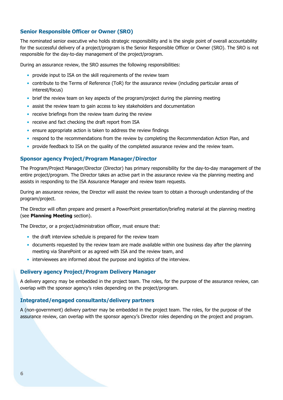#### **Senior Responsible Officer or Owner (SRO)**

The nominated senior executive who holds strategic responsibility and is the single point of overall accountability for the successful delivery of a project/program is the Senior Responsible Officer or Owner (SRO). The SRO is not responsible for the day-to-day management of the project/program.

During an assurance review, the SRO assumes the following responsibilities:

- provide input to ISA on the skill requirements of the review team
- contribute to the Terms of Reference (ToR) for the assurance review (including particular areas of interest/focus)
- brief the review team on key aspects of the program/project during the planning meeting
- assist the review team to gain access to key stakeholders and documentation
- receive briefings from the review team during the review
- receive and fact checking the draft report from ISA
- ensure appropriate action is taken to address the review findings
- respond to the recommendations from the review by completing the Recommendation Action Plan, and
- provide feedback to ISA on the quality of the completed assurance review and the review team.

#### **Sponsor agency Project/Program Manager/Director**

The Program/Project Manager/Director (Director) has primary responsibility for the day-to-day management of the entire project/program. The Director takes an active part in the assurance review via the planning meeting and assists in responding to the ISA Assurance Manager and review team requests.

During an assurance review, the Director will assist the review team to obtain a thorough understanding of the program/project.

The Director will often prepare and present a PowerPoint presentation/briefing material at the planning meeting (see **Planning Meeting** section).

The Director, or a project/administration officer, must ensure that:

- the draft interview schedule is prepared for the review team
- documents requested by the review team are made available within one business day after the planning meeting via SharePoint or as agreed with ISA and the review team, and
- interviewees are informed about the purpose and logistics of the interview.

#### **Delivery agency Project/Program Delivery Manager**

A delivery agency may be embedded in the project team. The roles, for the purpose of the assurance review, can overlap with the sponsor agency's roles depending on the project/program.

#### **Integrated/engaged consultants/delivery partners**

A (non-government) delivery partner may be embedded in the project team. The roles, for the purpose of the assurance review, can overlap with the sponsor agency's Director roles depending on the project and program.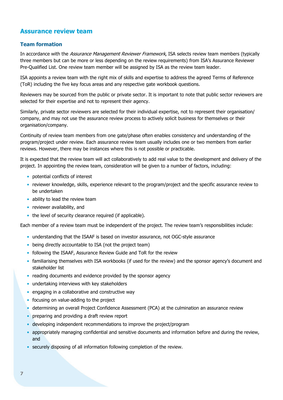### <span id="page-7-0"></span>**Assurance review team**

#### **Team formation**

In accordance with the Assurance Management Reviewer Framework, ISA selects review team members (typically three members but can be more or less depending on the review requirements) from ISA's Assurance Reviewer Pre-Qualified List. One review team member will be assigned by ISA as the review team leader.

ISA appoints a review team with the right mix of skills and expertise to address the agreed Terms of Reference (ToR) including the five key focus areas and any respective gate workbook questions.

Reviewers may be sourced from the public or private sector. It is important to note that public sector reviewers are selected for their expertise and not to represent their agency.

Similarly, private sector reviewers are selected for their individual expertise, not to represent their organisation/ company, and may not use the assurance review process to actively solicit business for themselves or their organisation/company.

Continuity of review team members from one gate/phase often enables consistency and understanding of the program/project under review. Each assurance review team usually includes one or two members from earlier reviews. However, there may be instances where this is not possible or practicable.

It is expected that the review team will act collaboratively to add real value to the development and delivery of the project. In appointing the review team, consideration will be given to a number of factors, including:

- potential conflicts of interest
- reviewer knowledge, skills, experience relevant to the program/project and the specific assurance review to be undertaken
- ability to lead the review team
- reviewer availability, and
- the level of security clearance required (if applicable).

Each member of a review team must be independent of the project. The review team's responsibilities include:

- understanding that the ISAAF is based on investor assurance, not OGC-style assurance
- being directly accountable to ISA (not the project team)
- following the ISAAF, Assurance Review Guide and ToR for the review
- familiarising themselves with ISA workbooks (if used for the review) and the sponsor agency's document and stakeholder list
- reading documents and evidence provided by the sponsor agency
- undertaking interviews with key stakeholders
- engaging in a collaborative and constructive way
- focusing on value-adding to the project
- determining an overall Project Confidence Assessment (PCA) at the culmination an assurance review
- preparing and providing a draft review report
- developing independent recommendations to improve the project/program
- appropriately managing confidential and sensitive documents and information before and during the review, and
- securely disposing of all information following completion of the review.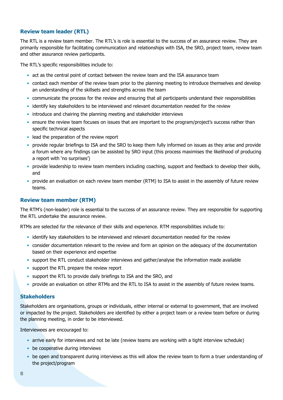#### **Review team leader (RTL)**

The RTL is a review team member. The RTL's is role is essential to the success of an assurance review. They are primarily responsible for facilitating communication and relationships with ISA, the SRO, project team, review team and other assurance review participants.

The RTL's specific responsibilities include to:

- act as the central point of contact between the review team and the ISA assurance team
- contact each member of the review team prior to the planning meeting to introduce themselves and develop an understanding of the skillsets and strengths across the team
- communicate the process for the review and ensuring that all participants understand their responsibilities
- identify key stakeholders to be interviewed and relevant documentation needed for the review
- introduce and chairing the planning meeting and stakeholder interviews
- ensure the review team focuses on issues that are important to the program/project's success rather than specific technical aspects
- lead the preparation of the review report
- provide regular briefings to ISA and the SRO to keep them fully informed on issues as they arise and provide a forum where any findings can be assisted by SRO input (this process maximises the likelihood of producing a report with 'no surprises')
- provide leadership to review team members including coaching, support and feedback to develop their skills, and
- provide an evaluation on each review team member (RTM) to ISA to assist in the assembly of future review teams.

#### **Review team member (RTM)**

The RTM's (non-leader) role is essential to the success of an assurance review. They are responsible for supporting the RTL undertake the assurance review.

RTMs are selected for the relevance of their skills and experience. RTM responsibilities include to:

- identify key stakeholders to be interviewed and relevant documentation needed for the review
- consider documentation relevant to the review and form an opinion on the adequacy of the documentation based on their experience and expertise
- support the RTL conduct stakeholder interviews and gather/analyse the information made available
- support the RTL prepare the review report
- support the RTL to provide daily briefings to ISA and the SRO, and
- provide an evaluation on other RTMs and the RTL to ISA to assist in the assembly of future review teams.

#### **Stakeholders**

Stakeholders are organisations, groups or individuals, either internal or external to government, that are involved or impacted by the project. Stakeholders are identified by either a project team or a review team before or during the planning meeting, in order to be interviewed.

Interviewees are encouraged to:

- arrive early for interviews and not be late (review teams are working with a tight interview schedule)
- be cooperative during interviews
- be open and transparent during interviews as this will allow the review team to form a truer understanding of the project/program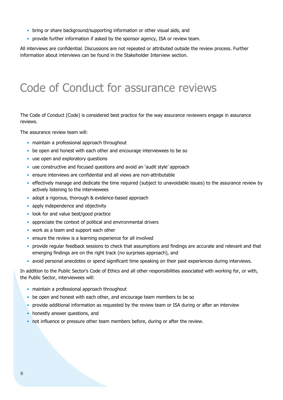- bring or share background/supporting information or other visual aids, and
- provide further information if asked by the sponsor agency, ISA or review team.

<span id="page-9-0"></span>All interviews are confidential. Discussions are not repeated or attributed outside the review process. Further information about interviews can be found in the Stakeholder Interview section.

### Code of Conduct for assurance reviews

The Code of Conduct (Code) is considered best practice for the way assurance reviewers engage in assurance reviews.

The assurance review team will:

- maintain a professional approach throughout
- be open and honest with each other and encourage interviewees to be so
- use open and exploratory questions
- use constructive and focused questions and avoid an 'audit style' approach
- ensure interviews are confidential and all views are non-attributable
- effectively manage and dedicate the time required (subject to unavoidable issues) to the assurance review by actively listening to the interviewees
- adopt a rigorous, thorough & evidence-based approach
- apply independence and objectivity
- look for and value best/good practice
- appreciate the context of political and environmental drivers
- work as a team and support each other
- ensure the review is a learning experience for all involved
- provide regular feedback sessions to check that assumptions and findings are accurate and relevant and that emerging findings are on the right track (no surprises approach), and
- avoid personal anecdotes or spend significant time speaking on their past experiences during interviews.

In addition to the Public Sector's Code of Ethics and all other responsibilities associated with working for, or with, the Public Sector, interviewees will:

- maintain a professional approach throughout
- be open and honest with each other, and encourage team members to be so
- provide additional information as requested by the review team or ISA during or after an interview
- honestly answer questions, and
- not influence or pressure other team members before, during or after the review.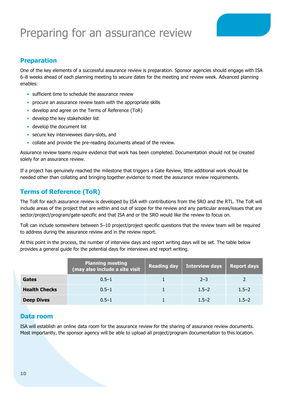# <span id="page-10-0"></span>Preparing for an assurance review

### <span id="page-10-1"></span>**Preparation**

One of the key elements of a successful assurance review is preparation. Sponsor agencies should engage with ISA 6–8 weeks ahead of each planning meeting to secure dates for the meeting and review week. Advanced planning enables:

- sufficient time to schedule the assurance review
- procure an assurance review team with the appropriate skills
- develop and agree on the Terms of Reference (ToR)
- develop the key stakeholder list
- develop the document list
- secure key interviewees diary-slots, and
- collate and provide the pre-reading documents ahead of the review.

Assurance review teams require evidence that work has been completed. Documentation should not be created solely for an assurance review.

If a project has genuinely reached the milestone that triggers a Gate Review, little additional work should be needed other than collating and bringing together evidence to meet the assurance review requirements.

#### <span id="page-10-2"></span>**Terms of Reference (ToR)**

The ToR for each assurance review is developed by ISA with contributions from the SRO and the RTL. The ToR will include areas of the project that are within and out of scope for the review and any particular areas/issues that are sector/project/program/gate-specific and that ISA and or the SRO would like the review to focus on.

ToR can include somewhere between 5–10 project/project specific questions that the review team will be required to address during the assurance review and in the review report.

At this point in the process, the number of interview days and report writing days will be set. The table below provides a general guide for the potential days for interviews and report writing.

|                      | <b>Planning meeting</b><br>(may also include a site visit | Reading day | <b>Interview days</b> | <b>Report days</b> |
|----------------------|-----------------------------------------------------------|-------------|-----------------------|--------------------|
| Gates                | $0.5 - 1$                                                 |             | $2 - 3$               |                    |
| <b>Health Checks</b> | $0.5 - 1$                                                 |             | $1.5 - 2$             | $1.5 - 2$          |
| <b>Deep Dives</b>    | $0.5 - 1$                                                 |             | $1.5 - 2$             | $1.5 - 2$          |

#### <span id="page-10-3"></span>**Data room**

ISA will establish an online data room for the assurance review for the sharing of assurance review documents. Most importantly, the sponsor agency will be able to upload all project/program documentation to this location.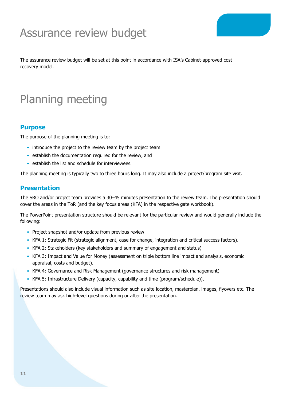# <span id="page-11-0"></span>Assurance review budget

<span id="page-11-1"></span>The assurance review budget will be set at this point in accordance with ISA's Cabinet-approved cost recovery model.

# Planning meeting

#### <span id="page-11-2"></span>**Purpose**

The purpose of the planning meeting is to:

- introduce the project to the review team by the project team
- establish the documentation required for the review, and
- establish the list and schedule for interviewees.

The planning meeting is typically two to three hours long. It may also include a project/program site visit.

#### <span id="page-11-3"></span>**Presentation**

The SRO and/or project team provides a 30–45 minutes presentation to the review team. The presentation should cover the areas in the ToR (and the key focus areas (KFA) in the respective gate workbook).

The PowerPoint presentation structure should be relevant for the particular review and would generally include the following:

- Project snapshot and/or update from previous review
- KFA 1: Strategic Fit (strategic alignment, case for change, integration and critical success factors).
- KFA 2: Stakeholders (key stakeholders and summary of engagement and status)
- KFA 3: Impact and Value for Money (assessment on triple bottom line impact and analysis, economic appraisal, costs and budget).
- KFA 4: Governance and Risk Management (governance structures and risk management)
- KFA 5: Infrastructure Delivery (capacity, capability and time (program/schedule)).

Presentations should also include visual information such as site location, masterplan, images, flyovers etc. The review team may ask high-level questions during or after the presentation.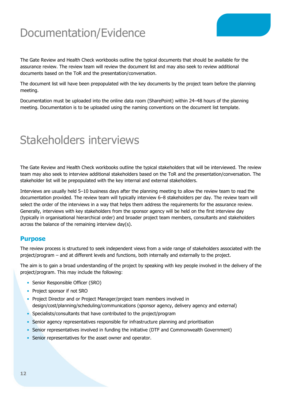# <span id="page-12-0"></span>Documentation/Evidence

The Gate Review and Health Check workbooks outline the typical documents that should be available for the assurance review. The review team will review the document list and may also seek to review additional documents based on the ToR and the presentation/conversation.

The document list will have been prepopulated with the key documents by the project team before the planning meeting.

<span id="page-12-1"></span>Documentation must be uploaded into the online data room (SharePoint) within 24–48 hours of the planning meeting. Documentation is to be uploaded using the naming conventions on the document list template.

### Stakeholders interviews

The Gate Review and Health Check workbooks outline the typical stakeholders that will be interviewed. The review team may also seek to interview additional stakeholders based on the ToR and the presentation/conversation. The stakeholder list will be prepopulated with the key internal and external stakeholders.

Interviews are usually held 5–10 business days after the planning meeting to allow the review team to read the documentation provided. The review team will typically interview 6–8 stakeholders per day. The review team will select the order of the interviews in a way that helps them address the requirements for the assurance review. Generally, interviews with key stakeholders from the sponsor agency will be held on the first interview day (typically in organisational hierarchical order) and broader project team members, consultants and stakeholders across the balance of the remaining interview day(s).

#### <span id="page-12-2"></span>**Purpose**

The review process is structured to seek independent views from a wide range of stakeholders associated with the project/program – and at different levels and functions, both internally and externally to the project.

The aim is to gain a broad understanding of the project by speaking with key people involved in the delivery of the project/program. This may include the following:

- Senior Responsible Officer (SRO)
- Project sponsor if not SRO
- Project Director and or Project Manager/project team members involved in design/cost/planning/scheduling/communications (sponsor agency, delivery agency and external)
- Specialists/consultants that have contributed to the project/program
- Senior agency representatives responsible for infrastructure planning and prioritisation
- Senior representatives involved in funding the initiative (DTF and Commonwealth Government)
- Senior representatives for the asset owner and operator.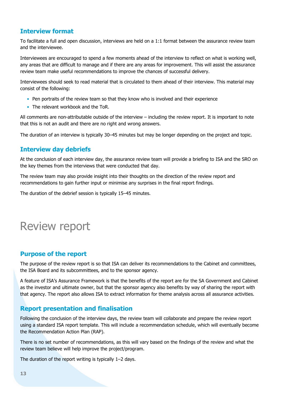### <span id="page-13-0"></span>**Interview format**

To facilitate a full and open discussion, interviews are held on a 1:1 format between the assurance review team and the interviewee.

Interviewees are encouraged to spend a few moments ahead of the interview to reflect on what is working well, any areas that are difficult to manage and if there are any areas for improvement. This will assist the assurance review team make useful recommendations to improve the chances of successful delivery.

Interviewees should seek to read material that is circulated to them ahead of their interview. This material may consist of the following:

- Pen portraits of the review team so that they know who is involved and their experience
- The relevant workbook and the ToR.

All comments are non-attributable outside of the interview – including the review report. It is important to note that this is not an audit and there are no right and wrong answers.

The duration of an interview is typically 30–45 minutes but may be longer depending on the project and topic.

### <span id="page-13-1"></span>**Interview day debriefs**

At the conclusion of each interview day, the assurance review team will provide a briefing to ISA and the SRO on the key themes from the interviews that were conducted that day.

The review team may also provide insight into their thoughts on the direction of the review report and recommendations to gain further input or minimise any surprises in the final report findings.

<span id="page-13-2"></span>The duration of the debrief session is typically 15–45 minutes.

## Review report

#### <span id="page-13-3"></span>**Purpose of the report**

The purpose of the review report is so that ISA can deliver its recommendations to the Cabinet and committees, the ISA Board and its subcommittees, and to the sponsor agency.

A feature of ISA's Assurance Framework is that the benefits of the report are for the SA Government and Cabinet as the investor and ultimate owner, but that the sponsor agency also benefits by way of sharing the report with that agency. The report also allows ISA to extract information for theme analysis across all assurance activities.

#### <span id="page-13-4"></span>**Report presentation and finalisation**

Following the conclusion of the interview days, the review team will collaborate and prepare the review report using a standard ISA report template. This will include a recommendation schedule, which will eventually become the Recommendation Action Plan (RAP).

There is no set number of recommendations, as this will vary based on the findings of the review and what the review team believe will help improve the project/program.

The duration of the report writing is typically 1–2 days.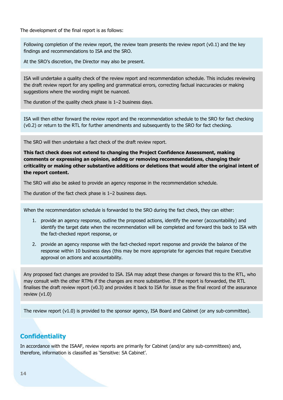The development of the final report is as follows:

Following completion of the review report, the review team presents the review report (v0.1) and the key findings and recommendations to ISA and the SRO.

At the SRO's discretion, the Director may also be present.

ISA will undertake a quality check of the review report and recommendation schedule. This includes reviewing the draft review report for any spelling and grammatical errors, correcting factual inaccuracies or making suggestions where the wording might be nuanced.

The duration of the quality check phase is 1–2 business days.

ISA will then either forward the review report and the recommendation schedule to the SRO for fact checking (v0.2) or return to the RTL for further amendments and subsequently to the SRO for fact checking.

The SRO will then undertake a fact check of the draft review report.

**This fact check does not extend to changing the Project Confidence Assessment, making comments or expressing an opinion, adding or removing recommendations, changing their criticality or making other substantive additions or deletions that would alter the original intent of the report content.**

The SRO will also be asked to provide an agency response in the recommendation schedule.

The duration of the fact check phase is 1–2 business days.

When the recommendation schedule is forwarded to the SRO during the fact check, they can either:

- 1. provide an agency response, outline the proposed actions, identify the owner (accountability) and identify the target date when the recommendation will be completed and forward this back to ISA with the fact-checked report response, or
- 2. provide an agency response with the fact-checked report response and provide the balance of the response within 10 business days (this may be more appropriate for agencies that require Executive approval on actions and accountability.

Any proposed fact changes are provided to ISA. ISA may adopt these changes or forward this to the RTL, who may consult with the other RTMs if the changes are more substantive. If the report is forwarded, the RTL finalises the draft review report (v0.3) and provides it back to ISA for issue as the final record of the assurance review (v1.0)

The review report (v1.0) is provided to the sponsor agency, ISA Board and Cabinet (or any sub-committee).

### <span id="page-14-0"></span>**Confidentiality**

In accordance with the ISAAF, review reports are primarily for Cabinet (and/or any sub-committees) and, therefore, information is classified as 'Sensitive: SA Cabinet'.